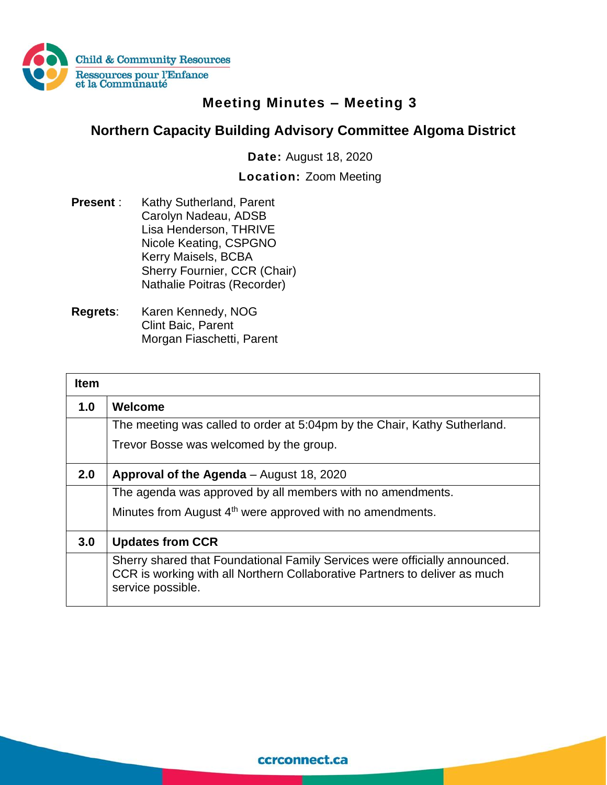

## **Meeting Minutes – Meeting 3**

## **Northern Capacity Building Advisory Committee Algoma District**

**Date:** August 18, 2020

**Location:** Zoom Meeting

- **Present** : Kathy Sutherland, Parent Carolyn Nadeau, ADSB Lisa Henderson, THRIVE Nicole Keating, CSPGNO Kerry Maisels, BCBA Sherry Fournier, CCR (Chair) Nathalie Poitras (Recorder)
- **Regrets**: Karen Kennedy, NOG Clint Baic, Parent Morgan Fiaschetti, Parent

| <b>Item</b> |                                                                                                                                                                               |
|-------------|-------------------------------------------------------------------------------------------------------------------------------------------------------------------------------|
| 1.0         | Welcome                                                                                                                                                                       |
|             | The meeting was called to order at 5:04pm by the Chair, Kathy Sutherland.                                                                                                     |
|             | Trevor Bosse was welcomed by the group.                                                                                                                                       |
| 2.0         | Approval of the Agenda - August 18, 2020                                                                                                                                      |
|             | The agenda was approved by all members with no amendments.                                                                                                                    |
|             | Minutes from August $4th$ were approved with no amendments.                                                                                                                   |
| 3.0         | <b>Updates from CCR</b>                                                                                                                                                       |
|             | Sherry shared that Foundational Family Services were officially announced.<br>CCR is working with all Northern Collaborative Partners to deliver as much<br>service possible. |